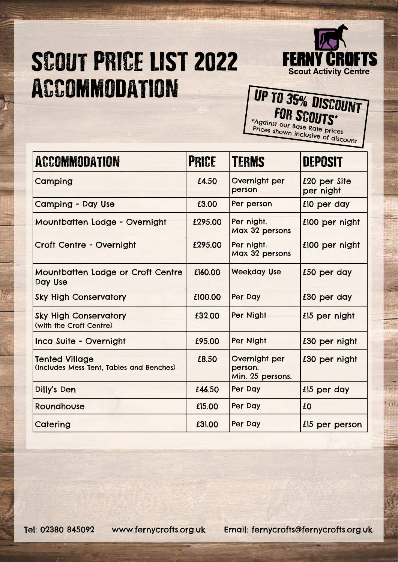## SCOUT PRICE LIST 2022 Accommodation



## UP TO 35% DISCOUNT \*Against our Base Rate prices Prices shown inclusive of discount

| <b>ACCOMMODATION</b>                                              | <b>PRICE</b> | <b>TERMS</b>                                 | <b>DEPOSIT</b>            |
|-------------------------------------------------------------------|--------------|----------------------------------------------|---------------------------|
| Camping                                                           | £4.50        | Overnight per<br>person                      | £20 per Site<br>per night |
| <b>Camping - Day Use</b>                                          | £3.00        | Per person                                   | £10 per day               |
| Mountbatten Lodge - Overnight                                     | £295.00      | Per night.<br>Max 32 persons                 | £100 per night            |
| Croft Centre - Overnight                                          | £295.00      | Per night.<br>Max 32 persons                 | £100 per night            |
| Mountbatten Lodge or Croft Centre<br>Day Use                      | £160.00      | <b>Weekday Use</b>                           | £50 per day               |
| <b>Sky High Conservatory</b>                                      | £100.00      | Per Day                                      | £30 per day               |
| <b>Sky High Conservatory</b><br>(with the Croft Centre)           | £32.00       | Per Night                                    | £15 per night             |
| Inca Suite - Overnight                                            | £95.00       | Per Night                                    | £30 per night             |
| <b>Tented Village</b><br>(Includes Mess Tent, Tables and Benches) | £8.50        | Overnight per<br>person.<br>Min. 25 persons. | £30 per night             |
| Dilly's Den                                                       | £46.50       | Per Day                                      | £15 per day               |
| Roundhouse                                                        | £15.00       | Per Day                                      | £0                        |
| Catering                                                          | £31.00       | Per Day                                      | £15 per person            |